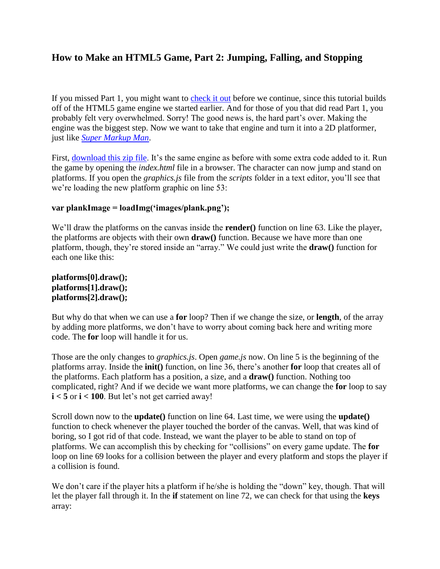# **How to Make an HTML5 Game, Part 2: Jumping, Falling, and Stopping**

If you missed Part 1, you might want to [check it out](http://www.roppychop.com/files/html5-part1.pdf) before we continue, since this tutorial builds off of the HTML5 game engine we started earlier. And for those of you that did read Part 1, you probably felt very overwhelmed. Sorry! The good news is, the hard part's over. Making the engine was the biggest step. Now we want to take that engine and turn it into a 2D platformer, just like *[Super Markup Man](http://markup.roppychop.com/)*.

First, [download this zip file.](http://www.roppychop.com/files/html5-part2.zip) It's the same engine as before with some extra code added to it. Run the game by opening the *index.html* file in a browser. The character can now jump and stand on platforms. If you open the *graphics.js* file from the *scripts* folder in a text editor, you'll see that we're loading the new platform graphic on line 53:

#### **var plankImage = loadImg('images/plank.png');**

We'll draw the platforms on the canvas inside the **render()** function on line 63. Like the player, the platforms are objects with their own **draw()** function. Because we have more than one platform, though, they're stored inside an "array." We could just write the **draw()** function for each one like this:

**platforms[0].draw(); platforms[1].draw(); platforms[2].draw();**

But why do that when we can use a **for** loop? Then if we change the size, or **length**, of the array by adding more platforms, we don't have to worry about coming back here and writing more code. The **for** loop will handle it for us.

Those are the only changes to *graphics.js*. Open *game.js* now. On line 5 is the beginning of the platforms array. Inside the **init()** function, on line 36, there's another **for** loop that creates all of the platforms. Each platform has a position, a size, and a **draw()** function. Nothing too complicated, right? And if we decide we want more platforms, we can change the **for** loop to say **i < 5** or **i < 100**. But let's not get carried away!

Scroll down now to the **update()** function on line 64. Last time, we were using the **update()**  function to check whenever the player touched the border of the canvas. Well, that was kind of boring, so I got rid of that code. Instead, we want the player to be able to stand on top of platforms. We can accomplish this by checking for "collisions" on every game update. The **for**  loop on line 69 looks for a collision between the player and every platform and stops the player if a collision is found.

We don't care if the player hits a platform if he/she is holding the "down" key, though. That will let the player fall through it. In the **if** statement on line 72, we can check for that using the **keys**  array: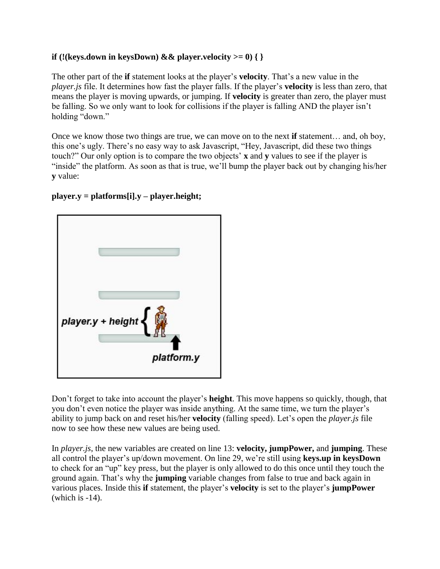### **if** (!(keys.down in keysDown)  $\&&$  player.velocity  $>= 0$ ) { }

The other part of the **if** statement looks at the player's **velocity**. That's a new value in the *player.js* file. It determines how fast the player falls. If the player's **velocity** is less than zero, that means the player is moving upwards, or jumping. If **velocity** is greater than zero, the player must be falling. So we only want to look for collisions if the player is falling AND the player isn't holding "down."

Once we know those two things are true, we can move on to the next **if** statement… and, oh boy, this one's ugly. There's no easy way to ask Javascript, "Hey, Javascript, did these two things touch?" Our only option is to compare the two objects' **x** and **y** values to see if the player is "inside" the platform. As soon as that is true, we'll bump the player back out by changing his/her **y** value:

#### **player.y = platforms[i].y – player.height;**



Don't forget to take into account the player's **height**. This move happens so quickly, though, that you don't even notice the player was inside anything. At the same time, we turn the player's ability to jump back on and reset his/her **velocity** (falling speed). Let's open the *player.js* file now to see how these new values are being used.

In *player.js*, the new variables are created on line 13: **velocity, jumpPower,** and **jumping**. These all control the player's up/down movement. On line 29, we're still using **keys.up in keysDown**  to check for an "up" key press, but the player is only allowed to do this once until they touch the ground again. That's why the **jumping** variable changes from false to true and back again in various places. Inside this **if** statement, the player's **velocity** is set to the player's **jumpPower**  (which is -14).